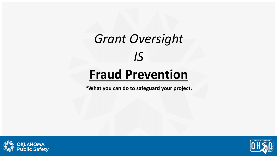## *Grant Oversight IS*

#### **Fraud Prevention**

**\*What you can do to safeguard your project.**



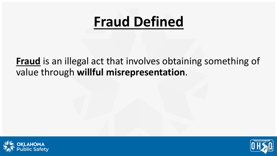#### **Fraud Defined**

#### **Fraud** is an illegal act that involves obtaining something of value through **willful misrepresentation**.



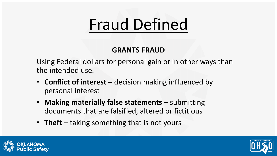# Fraud Defined

#### **GRANTS FRAUD**

Using Federal dollars for personal gain or in other ways than the intended use.

- **Conflict of interest –** decision making influenced by personal interest
- **Making materially false statements –** submitting documents that are falsified, altered or fictitious
- **Theft –** taking something that is not yours



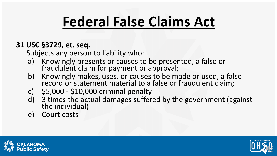## **Federal False Claims Act**

#### **31 USC §3729, et. seq.**

Subjects any person to liability who:

- a) Knowingly presents or causes to be presented, a false or fraudulent claim for payment or approval;
- b) Knowingly makes, uses, or causes to be made or used, a false record or statement material to a false or fraudulent claim;
- c) \$5,000 \$10,000 criminal penalty
- d) 3 times the actual damages suffered by the government (against the individual)
- e) Court costs



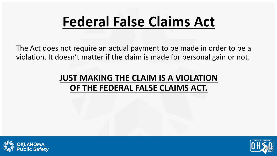### **Federal False Claims Act**

The Act does not require an actual payment to be made in order to be a violation. It doesn't matter if the claim is made for personal gain or not.

#### **JUST MAKING THE CLAIM IS A VIOLATION OF THE FEDERAL FALSE CLAIMS ACT.**



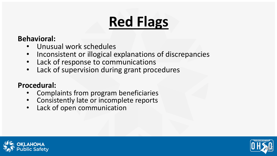# **Red Flags**

#### **Behavioral:**

- Unusual work schedules
- Inconsistent or illogical explanations of discrepancies
- Lack of response to communications
- Lack of supervision during grant procedures

#### **Procedural:**

- Complaints from program beneficiaries
- Consistently late or incomplete reports
- Lack of open communication



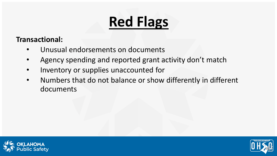# **Red Flags**

**Transactional:**

- Unusual endorsements on documents
- Agency spending and reported grant activity don't match
- Inventory or supplies unaccounted for
- Numbers that do not balance or show differently in different documents



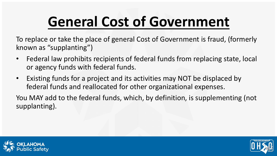# **General Cost of Government**

To replace or take the place of general Cost of Government is fraud, (formerly known as "supplanting")

- Federal law prohibits recipients of federal funds from replacing state, local or agency funds with federal funds.
- Existing funds for a project and its activities may NOT be displaced by federal funds and reallocated for other organizational expenses.

You MAY add to the federal funds, which, by definition, is supplementing (not supplanting).



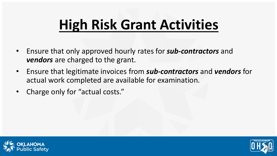## **High Risk Grant Activities**

- Ensure that only approved hourly rates for *sub-contractors* and *vendors* are charged to the grant.
- Ensure that legitimate invoices from *sub-contractors* and *vendors* for actual work completed are available for examination.
- Charge only for "actual costs."



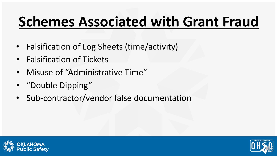## **Schemes Associated with Grant Fraud**

- Falsification of Log Sheets (time/activity)
- Falsification of Tickets
- Misuse of "Administrative Time"
- "Double Dipping"
- Sub-contractor/vendor false documentation



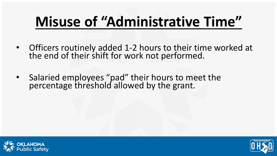## **Misuse of "Administrative Time"**

- Officers routinely added 1-2 hours to their time worked at the end of their shift for work not performed.
- Salaried employees "pad" their hours to meet the percentage threshold allowed by the grant.



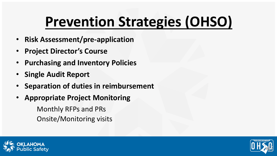## **Prevention Strategies (OHSO)**

- **Risk Assessment/pre-application**
- **Project Director's Course**
- **Purchasing and Inventory Policies**
- **Single Audit Report**
- **Separation of duties in reimbursement**
- **Appropriate Project Monitoring**

Monthly RFPs and PRs Onsite/Monitoring visits



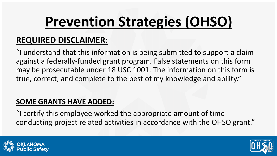# **Prevention Strategies (OHSO)**

#### **REQUIRED DISCLAIMER:**

"I understand that this information is being submitted to support a claim against a federally-funded grant program. False statements on this form may be prosecutable under 18 USC 1001. The information on this form is true, correct, and complete to the best of my knowledge and ability."

#### **SOME GRANTS HAVE ADDED:**

"I certify this employee worked the appropriate amount of time conducting project related activities in accordance with the OHSO grant."



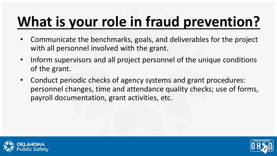# **What is your role in fraud prevention?**

- Communicate the benchmarks, goals, and deliverables for the project with all personnel involved with the grant.
- Inform supervisors and all project personnel of the unique conditions of the grant.
- Conduct periodic checks of agency systems and grant procedures: personnel changes, time and attendance quality checks; use of forms, payroll documentation, grant activities, etc.



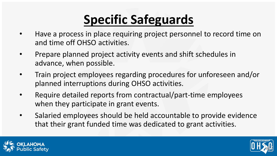#### **Specific Safeguards**

- Have a process in place requiring project personnel to record time on and time off OHSO activities.
- Prepare planned project activity events and shift schedules in advance, when possible.
- Train project employees regarding procedures for unforeseen and/or planned interruptions during OHSO activities.
- Require detailed reports from contractual/part-time employees when they participate in grant events.
- Salaried employees should be held accountable to provide evidence that their grant funded time was dedicated to grant activities.



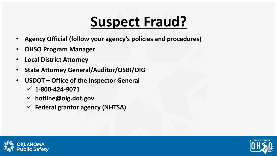#### **Suspect Fraud?**

- **Agency Official (follow your agency's policies and procedures)**
- **OHSO Program Manager**
- **Local District Attorney**
- **State Attorney General/Auditor/OSBI/OIG**
- **USDOT – Office of the Inspector General**
	- **1-800-424-9071**
	- **hotline@oig.dot.gov**
	- **Federal grantor agency (NHTSA)**